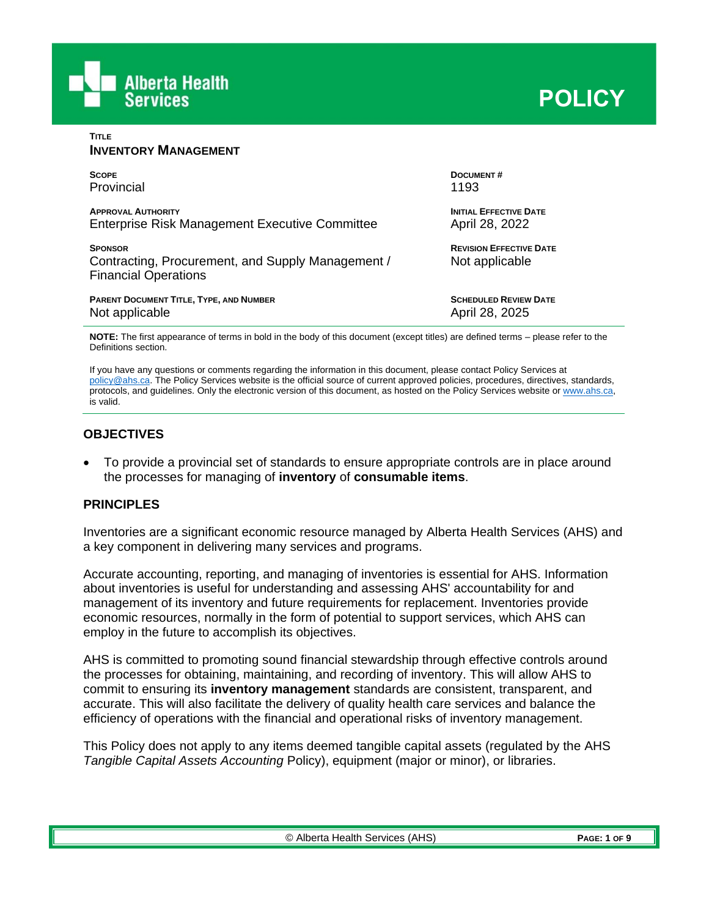

| <b>TITLE</b><br><b>INVENTORY MANAGEMENT</b>                                                        |                                                  |
|----------------------------------------------------------------------------------------------------|--------------------------------------------------|
| <b>SCOPE</b>                                                                                       | DOCUMENT#                                        |
| Provincial                                                                                         | 1193                                             |
| <b>APPROVAL AUTHORITY</b>                                                                          | <b>INITIAL EFFECTIVE DATE</b>                    |
| Enterprise Risk Management Executive Committee                                                     | April 28, 2022                                   |
| <b>SPONSOR</b><br>Contracting, Procurement, and Supply Management /<br><b>Financial Operations</b> | <b>REVISION EFFECTIVE DATE</b><br>Not applicable |
| <b>PARENT DOCUMENT TITLE, TYPE, AND NUMBER</b>                                                     | <b>SCHEDULED REVIEW DATE</b>                     |
| Not applicable                                                                                     | April 28, 2025                                   |
|                                                                                                    |                                                  |

**NOTE:** The first appearance of terms in bold in the body of this document (except titles) are defined terms – please refer to the Definitions section.

If you have any questions or comments regarding the information in this document, please contact Policy Services at [policy@ahs.ca.](mailto:policy@ahs.ca) The Policy Services website is the official source of current approved policies, procedures, directives, standards, protocols, and guidelines. Only the electronic version of this document, as hosted on the Policy Services website o[r www.ahs.ca,](http://www.ahs.ca/)  is valid.

### **OBJECTIVES**

• To provide a provincial set of standards to ensure appropriate controls are in place around the processes for managing of **inventory** of **consumable items**.

### **PRINCIPLES**

Inventories are a significant economic resource managed by Alberta Health Services (AHS) and a key component in delivering many services and programs.

Accurate accounting, reporting, and managing of inventories is essential for AHS. Information about inventories is useful for understanding and assessing AHS' accountability for and management of its inventory and future requirements for replacement. Inventories provide economic resources, normally in the form of potential to support services, which AHS can employ in the future to accomplish its objectives.

AHS is committed to promoting sound financial stewardship through effective controls around the processes for obtaining, maintaining, and recording of inventory. This will allow AHS to commit to ensuring its **inventory management** standards are consistent, transparent, and accurate. This will also facilitate the delivery of quality health care services and balance the efficiency of operations with the financial and operational risks of inventory management.

This Policy does not apply to any items deemed tangible capital assets (regulated by the AHS *Tangible Capital Assets Accounting* Policy), equipment (major or minor), or libraries.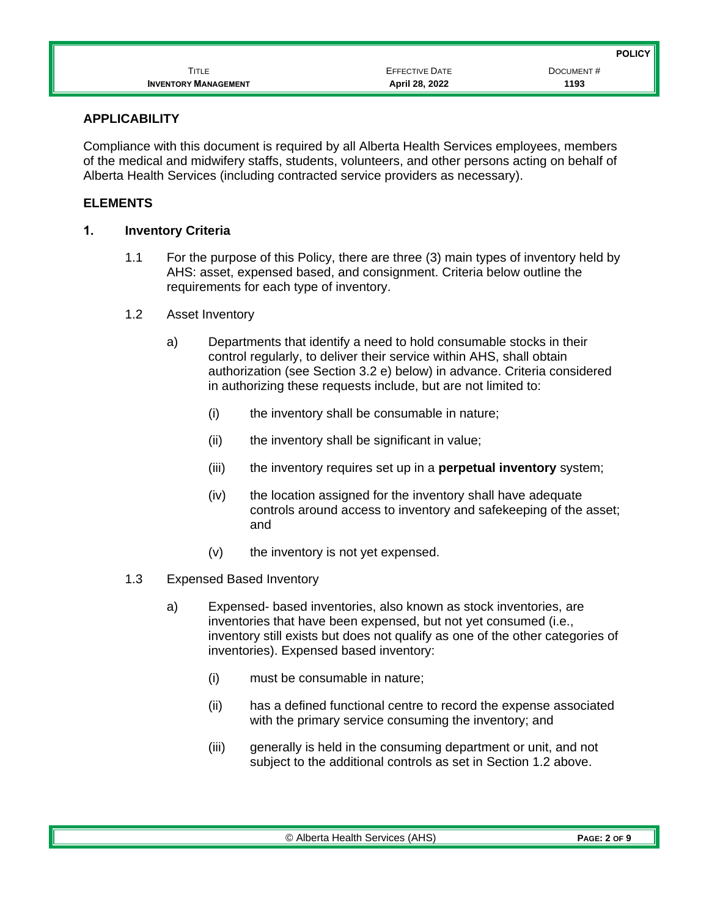|                             |                       | POLICY <b>II</b> |
|-----------------------------|-----------------------|------------------|
| <b>TITLE</b>                | <b>EFFECTIVE DATE</b> | DOCUMENT#        |
| <b>INVENTORY MANAGEMENT</b> | April 28, 2022        | 1193             |

### **APPLICABILITY**

Compliance with this document is required by all Alberta Health Services employees, members of the medical and midwifery staffs, students, volunteers, and other persons acting on behalf of Alberta Health Services (including contracted service providers as necessary).

# **ELEMENTS**

### **1. Inventory Criteria**

- 1.1 For the purpose of this Policy, there are three (3) main types of inventory held by AHS: asset, expensed based, and consignment. Criteria below outline the requirements for each type of inventory.
- 1.2 Asset Inventory
	- a) Departments that identify a need to hold consumable stocks in their control regularly, to deliver their service within AHS, shall obtain authorization (see Section 3.2 e) below) in advance. Criteria considered in authorizing these requests include, but are not limited to:
		- (i) the inventory shall be consumable in nature;
		- (ii) the inventory shall be significant in value;
		- (iii) the inventory requires set up in a **perpetual inventory** system;
		- (iv) the location assigned for the inventory shall have adequate controls around access to inventory and safekeeping of the asset; and
		- (v) the inventory is not yet expensed.
- 1.3 Expensed Based Inventory
	- a) Expensed- based inventories, also known as stock inventories, are inventories that have been expensed, but not yet consumed (i.e., inventory still exists but does not qualify as one of the other categories of inventories). Expensed based inventory:
		- (i) must be consumable in nature;
		- (ii) has a defined functional centre to record the expense associated with the primary service consuming the inventory; and
		- (iii) generally is held in the consuming department or unit, and not subject to the additional controls as set in Section 1.2 above.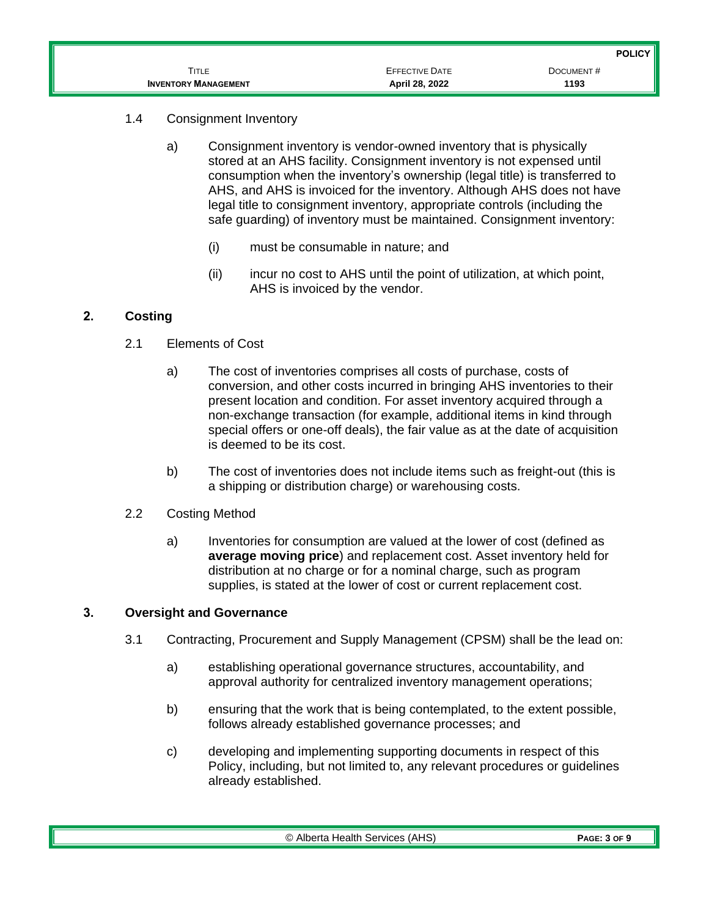|                             |                       | <b>POLICY</b> |
|-----------------------------|-----------------------|---------------|
| TITLE                       | <b>EFFECTIVE DATE</b> | DOCUMENT#     |
| <b>INVENTORY MANAGEMENT</b> | April 28, 2022        | 1193          |

- 1.4 Consignment Inventory
	- a) Consignment inventory is vendor-owned inventory that is physically stored at an AHS facility. Consignment inventory is not expensed until consumption when the inventory's ownership (legal title) is transferred to AHS, and AHS is invoiced for the inventory. Although AHS does not have legal title to consignment inventory, appropriate controls (including the safe guarding) of inventory must be maintained. Consignment inventory:
		- (i) must be consumable in nature; and
		- (ii) incur no cost to AHS until the point of utilization, at which point, AHS is invoiced by the vendor.

# **2. Costing**

- 2.1 Elements of Cost
	- a) The cost of inventories comprises all costs of purchase, costs of conversion, and other costs incurred in bringing AHS inventories to their present location and condition. For asset inventory acquired through a non-exchange transaction (for example, additional items in kind through special offers or one-off deals), the fair value as at the date of acquisition is deemed to be its cost.
	- b) The cost of inventories does not include items such as freight-out (this is a shipping or distribution charge) or warehousing costs.
- 2.2 Costing Method
	- a) Inventories for consumption are valued at the lower of cost (defined as **average moving price**) and replacement cost. Asset inventory held for distribution at no charge or for a nominal charge, such as program supplies, is stated at the lower of cost or current replacement cost.

# **3. Oversight and Governance**

- 3.1 Contracting, Procurement and Supply Management (CPSM) shall be the lead on:
	- a) establishing operational governance structures, accountability, and approval authority for centralized inventory management operations;
	- b) ensuring that the work that is being contemplated, to the extent possible, follows already established governance processes; and
	- c) developing and implementing supporting documents in respect of this Policy, including, but not limited to, any relevant procedures or guidelines already established.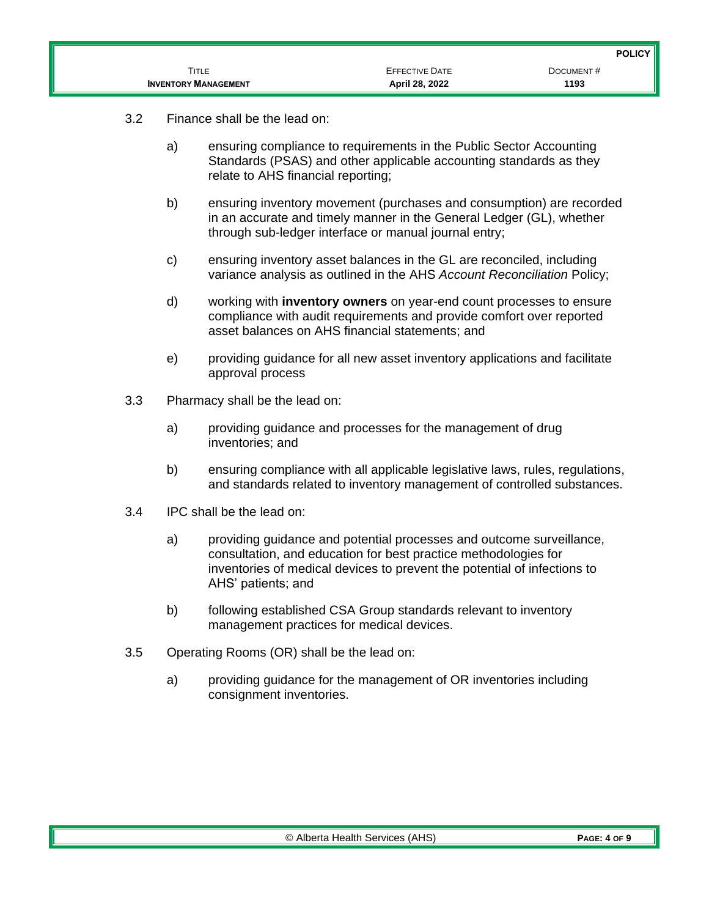|                             |                       | POLICY <sup>I</sup> |
|-----------------------------|-----------------------|---------------------|
| TITLE                       | <b>EFFECTIVE DATE</b> | DOCUMENT#           |
| <b>INVENTORY MANAGEMENT</b> | April 28, 2022        | 1193                |

- 3.2 Finance shall be the lead on:
	- a) ensuring compliance to requirements in the Public Sector Accounting Standards (PSAS) and other applicable accounting standards as they relate to AHS financial reporting;
	- b) ensuring inventory movement (purchases and consumption) are recorded in an accurate and timely manner in the General Ledger (GL), whether through sub-ledger interface or manual journal entry;
	- c) ensuring inventory asset balances in the GL are reconciled, including variance analysis as outlined in the AHS *Account Reconciliation* Policy;
	- d) working with **inventory owners** on year-end count processes to ensure compliance with audit requirements and provide comfort over reported asset balances on AHS financial statements; and
	- e) providing guidance for all new asset inventory applications and facilitate approval process
- 3.3 Pharmacy shall be the lead on:
	- a) providing guidance and processes for the management of drug inventories; and
	- b) ensuring compliance with all applicable legislative laws, rules, regulations, and standards related to inventory management of controlled substances.
- 3.4 IPC shall be the lead on:
	- a) providing guidance and potential processes and outcome surveillance, consultation, and education for best practice methodologies for inventories of medical devices to prevent the potential of infections to AHS' patients; and
	- b) following established CSA Group standards relevant to inventory management practices for medical devices.
- 3.5 Operating Rooms (OR) shall be the lead on:
	- a) providing guidance for the management of OR inventories including consignment inventories.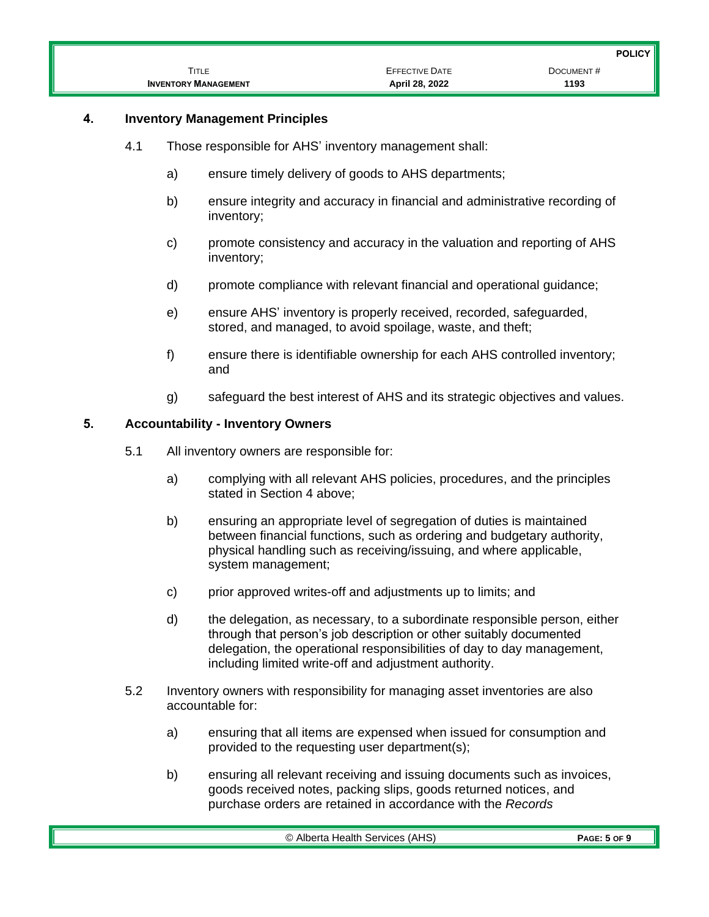|                             |                       | <b>POLICY</b> |
|-----------------------------|-----------------------|---------------|
| <b>TITLE</b>                | <b>EFFECTIVE DATE</b> | DOCUMENT#     |
| <b>INVENTORY MANAGEMENT</b> | April 28, 2022        | 1193          |

# **4. Inventory Management Principles**

- 4.1 Those responsible for AHS' inventory management shall:
	- a) ensure timely delivery of goods to AHS departments;
	- b) ensure integrity and accuracy in financial and administrative recording of inventory;
	- c) promote consistency and accuracy in the valuation and reporting of AHS inventory;
	- d) promote compliance with relevant financial and operational guidance;
	- e) ensure AHS' inventory is properly received, recorded, safeguarded, stored, and managed, to avoid spoilage, waste, and theft;
	- f) ensure there is identifiable ownership for each AHS controlled inventory; and
	- g) safeguard the best interest of AHS and its strategic objectives and values.

### **5. Accountability - Inventory Owners**

- 5.1 All inventory owners are responsible for:
	- a) complying with all relevant AHS policies, procedures, and the principles stated in Section 4 above;
	- b) ensuring an appropriate level of segregation of duties is maintained between financial functions, such as ordering and budgetary authority, physical handling such as receiving/issuing, and where applicable, system management;
	- c) prior approved writes-off and adjustments up to limits; and
	- d) the delegation, as necessary, to a subordinate responsible person, either through that person's job description or other suitably documented delegation, the operational responsibilities of day to day management, including limited write-off and adjustment authority.
- 5.2 Inventory owners with responsibility for managing asset inventories are also accountable for:
	- a) ensuring that all items are expensed when issued for consumption and provided to the requesting user department(s);
	- b) ensuring all relevant receiving and issuing documents such as invoices, goods received notes, packing slips, goods returned notices, and purchase orders are retained in accordance with the *Records*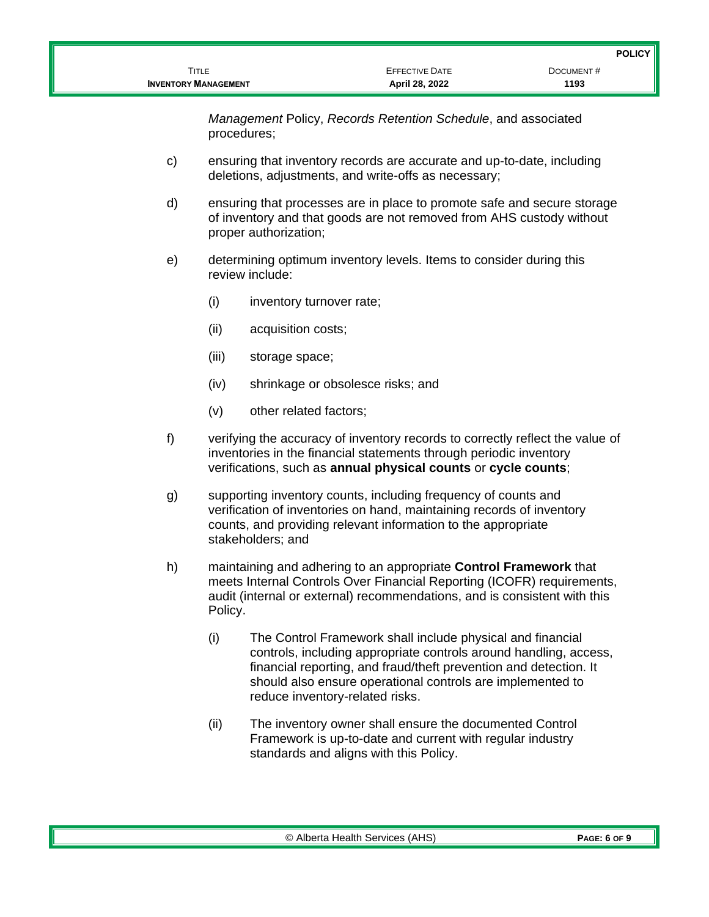*Management* Policy, *Records Retention Schedule*, and associated procedures;

- c) ensuring that inventory records are accurate and up-to-date, including deletions, adjustments, and write-offs as necessary;
- d) ensuring that processes are in place to promote safe and secure storage of inventory and that goods are not removed from AHS custody without proper authorization;
- e) determining optimum inventory levels. Items to consider during this review include:
	- (i) inventory turnover rate;
	- (ii) acquisition costs;
	- (iii) storage space;
	- (iv) shrinkage or obsolesce risks; and
	- (v) other related factors;
- f) verifying the accuracy of inventory records to correctly reflect the value of inventories in the financial statements through periodic inventory verifications, such as **annual physical counts** or **cycle counts**;
- g) supporting inventory counts, including frequency of counts and verification of inventories on hand, maintaining records of inventory counts, and providing relevant information to the appropriate stakeholders; and
- h) maintaining and adhering to an appropriate **Control Framework** that meets Internal Controls Over Financial Reporting (ICOFR) requirements, audit (internal or external) recommendations, and is consistent with this Policy.
	- (i) The Control Framework shall include physical and financial controls, including appropriate controls around handling, access, financial reporting, and fraud/theft prevention and detection. It should also ensure operational controls are implemented to reduce inventory-related risks.
	- (ii) The inventory owner shall ensure the documented Control Framework is up-to-date and current with regular industry standards and aligns with this Policy.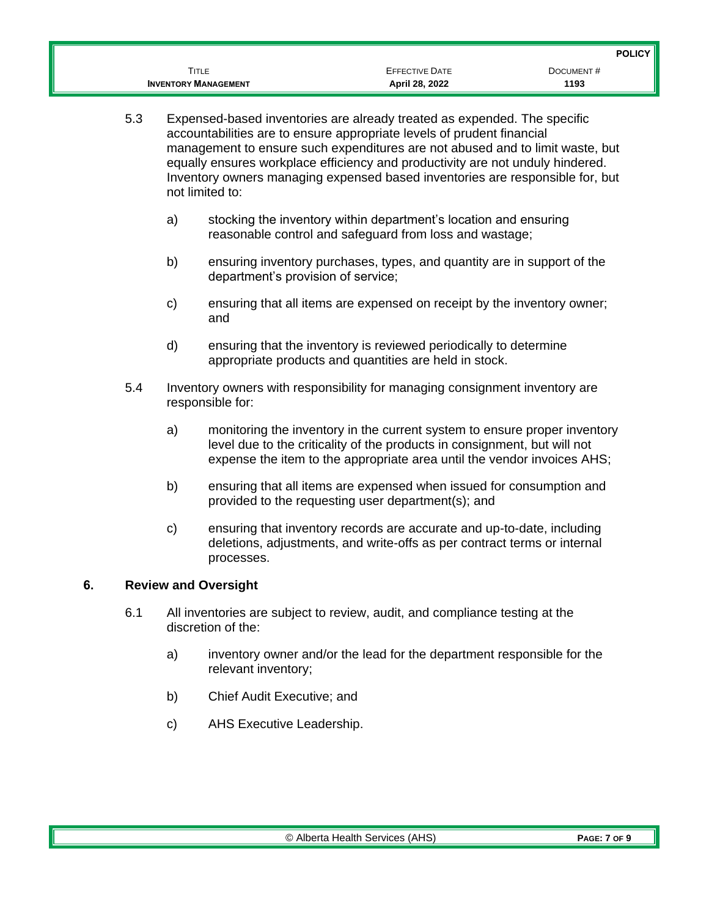|                             |                       | <b>POLICY</b> |
|-----------------------------|-----------------------|---------------|
| Title                       | <b>EFFECTIVE DATE</b> | DOCUMENT#     |
| <b>INVENTORY MANAGEMENT</b> | April 28, 2022        | 1193          |

- 5.3 Expensed-based inventories are already treated as expended. The specific accountabilities are to ensure appropriate levels of prudent financial management to ensure such expenditures are not abused and to limit waste, but equally ensures workplace efficiency and productivity are not unduly hindered. Inventory owners managing expensed based inventories are responsible for, but not limited to:
	- a) stocking the inventory within department's location and ensuring reasonable control and safeguard from loss and wastage;
	- b) ensuring inventory purchases, types, and quantity are in support of the department's provision of service;
	- c) ensuring that all items are expensed on receipt by the inventory owner; and
	- d) ensuring that the inventory is reviewed periodically to determine appropriate products and quantities are held in stock.
- 5.4 Inventory owners with responsibility for managing consignment inventory are responsible for:
	- a) monitoring the inventory in the current system to ensure proper inventory level due to the criticality of the products in consignment, but will not expense the item to the appropriate area until the vendor invoices AHS;
	- b) ensuring that all items are expensed when issued for consumption and provided to the requesting user department(s); and
	- c) ensuring that inventory records are accurate and up-to-date, including deletions, adjustments, and write-offs as per contract terms or internal processes.

# **6. Review and Oversight**

- 6.1 All inventories are subject to review, audit, and compliance testing at the discretion of the:
	- a) inventory owner and/or the lead for the department responsible for the relevant inventory;
	- b) Chief Audit Executive; and
	- c) AHS Executive Leadership.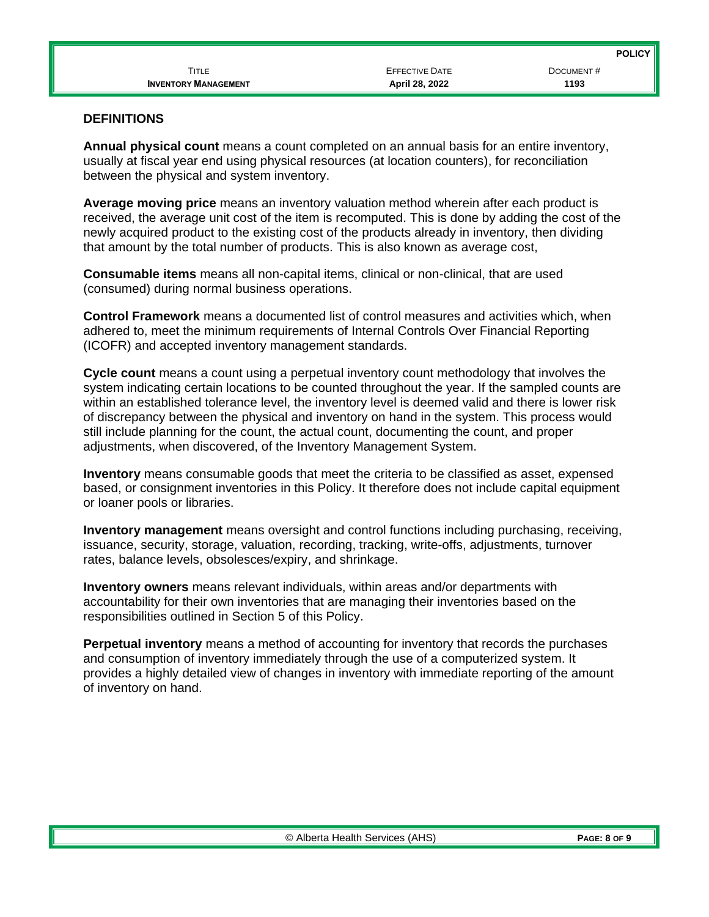| <b>INVENTORY MANAGEMENT</b> | April 28, 2022        | 1193          |
|-----------------------------|-----------------------|---------------|
| <b>TITLE</b>                | <b>EFFECTIVE DATE</b> | DOCUMENT#     |
|                             |                       | <b>POLICY</b> |

### **DEFINITIONS**

**Annual physical count** means a count completed on an annual basis for an entire inventory, usually at fiscal year end using physical resources (at location counters), for reconciliation between the physical and system inventory.

**Average moving price** means an inventory valuation method wherein after each product is received, the average unit cost of the item is recomputed. This is done by adding the cost of the newly acquired product to the existing cost of the products already in inventory, then dividing that amount by the total number of products. This is also known as average cost,

**Consumable items** means all non-capital items, clinical or non-clinical, that are used (consumed) during normal business operations.

**Control Framework** means a documented list of control measures and activities which, when adhered to, meet the minimum requirements of Internal Controls Over Financial Reporting (ICOFR) and accepted inventory management standards.

**Cycle count** means a count using a perpetual inventory count methodology that involves the system indicating certain locations to be counted throughout the year. If the sampled counts are within an established tolerance level, the inventory level is deemed valid and there is lower risk of discrepancy between the physical and inventory on hand in the system. This process would still include planning for the count, the actual count, documenting the count, and proper adjustments, when discovered, of the Inventory Management System.

**Inventory** means consumable goods that meet the criteria to be classified as asset, expensed based, or consignment inventories in this Policy. It therefore does not include capital equipment or loaner pools or libraries.

**Inventory management** means oversight and control functions including purchasing, receiving, issuance, security, storage, valuation, recording, tracking, write-offs, adjustments, turnover rates, balance levels, obsolesces/expiry, and shrinkage.

**Inventory owners** means relevant individuals, within areas and/or departments with accountability for their own inventories that are managing their inventories based on the responsibilities outlined in Section 5 of this Policy.

**Perpetual inventory** means a method of accounting for inventory that records the purchases and consumption of inventory immediately through the use of a computerized system. It provides a highly detailed view of changes in inventory with immediate reporting of the amount of inventory on hand.